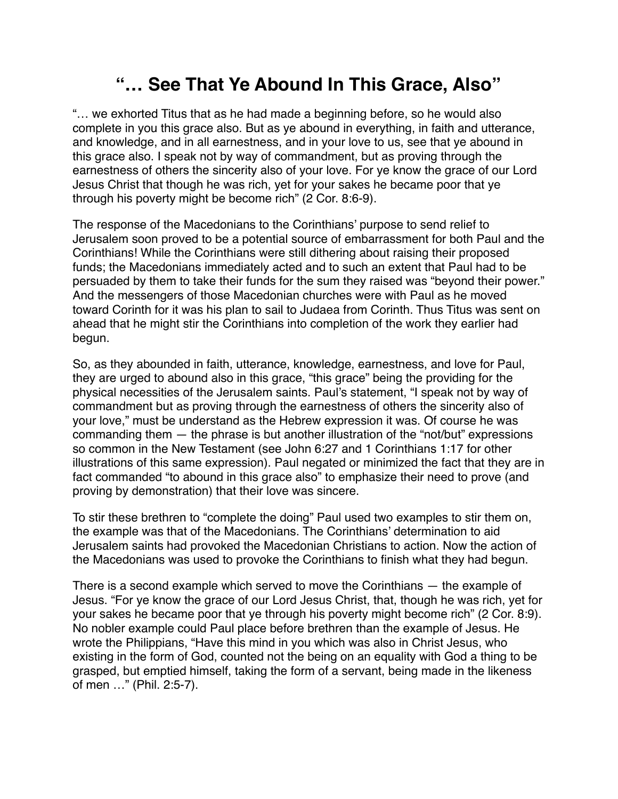## **"… See That Ye Abound In This Grace, Also"**

"… we exhorted Titus that as he had made a beginning before, so he would also complete in you this grace also. But as ye abound in everything, in faith and utterance, and knowledge, and in all earnestness, and in your love to us, see that ye abound in this grace also. I speak not by way of commandment, but as proving through the earnestness of others the sincerity also of your love. For ye know the grace of our Lord Jesus Christ that though he was rich, yet for your sakes he became poor that ye through his poverty might be become rich" (2 Cor. 8:6-9).

The response of the Macedonians to the Corinthians' purpose to send relief to Jerusalem soon proved to be a potential source of embarrassment for both Paul and the Corinthians! While the Corinthians were still dithering about raising their proposed funds; the Macedonians immediately acted and to such an extent that Paul had to be persuaded by them to take their funds for the sum they raised was "beyond their power." And the messengers of those Macedonian churches were with Paul as he moved toward Corinth for it was his plan to sail to Judaea from Corinth. Thus Titus was sent on ahead that he might stir the Corinthians into completion of the work they earlier had begun.

So, as they abounded in faith, utterance, knowledge, earnestness, and love for Paul, they are urged to abound also in this grace, "this grace" being the providing for the physical necessities of the Jerusalem saints. Paul's statement, "I speak not by way of commandment but as proving through the earnestness of others the sincerity also of your love," must be understand as the Hebrew expression it was. Of course he was commanding them — the phrase is but another illustration of the "not/but" expressions so common in the New Testament (see John 6:27 and 1 Corinthians 1:17 for other illustrations of this same expression). Paul negated or minimized the fact that they are in fact commanded "to abound in this grace also" to emphasize their need to prove (and proving by demonstration) that their love was sincere.

To stir these brethren to "complete the doing" Paul used two examples to stir them on, the example was that of the Macedonians. The Corinthians' determination to aid Jerusalem saints had provoked the Macedonian Christians to action. Now the action of the Macedonians was used to provoke the Corinthians to finish what they had begun.

There is a second example which served to move the Corinthians — the example of Jesus. "For ye know the grace of our Lord Jesus Christ, that, though he was rich, yet for your sakes he became poor that ye through his poverty might become rich" (2 Cor. 8:9). No nobler example could Paul place before brethren than the example of Jesus. He wrote the Philippians, "Have this mind in you which was also in Christ Jesus, who existing in the form of God, counted not the being on an equality with God a thing to be grasped, but emptied himself, taking the form of a servant, being made in the likeness of men …" (Phil. 2:5-7).